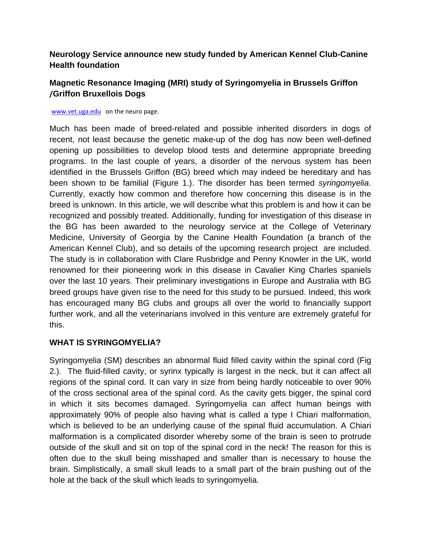#### **Neurology Service announce new study funded by American Kennel Club-Canine Health foundation**

## **Magnetic Resonance Imaging (MRI) study of Syringomyelia in Brussels Griffon /Griffon Bruxellois Dogs**

#### www.vet.uga.edu on the neuro page.

Much has been made of breed-related and possible inherited disorders in dogs of recent, not least because the genetic make-up of the dog has now been well-defined opening up possibilities to develop blood tests and determine appropriate breeding programs. In the last couple of years, a disorder of the nervous system has been identified in the Brussels Griffon (BG) breed which may indeed be hereditary and has been shown to be familial (Figure 1.). The disorder has been termed *syringomyelia*. Currently, exactly how common and therefore how concerning this disease is in the breed is unknown. In this article, we will describe what this problem is and how it can be recognized and possibly treated. Additionally, funding for investigation of this disease in the BG has been awarded to the neurology service at the College of Veterinary Medicine, University of Georgia by the Canine Health Foundation (a branch of the American Kennel Club), and so details of the upcoming research project are included. The study is in collaboration with Clare Rusbridge and Penny Knowler in the UK, world renowned for their pioneering work in this disease in Cavalier King Charles spaniels over the last 10 years. Their preliminary investigations in Europe and Australia with BG breed groups have given rise to the need for this study to be pursued. Indeed, this work has encouraged many BG clubs and groups all over the world to financially support further work, and all the veterinarians involved in this venture are extremely grateful for this.

#### **WHAT IS SYRINGOMYELIA?**

Syringomyelia (SM) describes an abnormal fluid filled cavity within the spinal cord (Fig 2.). The fluid-filled cavity, or syrinx typically is largest in the neck, but it can affect all regions of the spinal cord. It can vary in size from being hardly noticeable to over 90% of the cross sectional area of the spinal cord. As the cavity gets bigger, the spinal cord in which it sits becomes damaged. Syringomyelia can affect human beings with approximately 90% of people also having what is called a type I Chiari malformation, which is believed to be an underlying cause of the spinal fluid accumulation. A Chiari malformation is a complicated disorder whereby some of the brain is seen to protrude outside of the skull and sit on top of the spinal cord in the neck! The reason for this is often due to the skull being misshaped and smaller than is necessary to house the brain. Simplistically, a small skull leads to a small part of the brain pushing out of the hole at the back of the skull which leads to syringomyelia.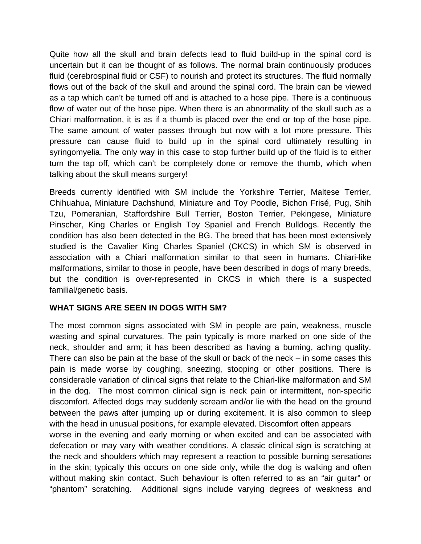Quite how all the skull and brain defects lead to fluid build-up in the spinal cord is uncertain but it can be thought of as follows. The normal brain continuously produces fluid (cerebrospinal fluid or CSF) to nourish and protect its structures. The fluid normally flows out of the back of the skull and around the spinal cord. The brain can be viewed as a tap which can't be turned off and is attached to a hose pipe. There is a continuous flow of water out of the hose pipe. When there is an abnormality of the skull such as a Chiari malformation, it is as if a thumb is placed over the end or top of the hose pipe. The same amount of water passes through but now with a lot more pressure. This pressure can cause fluid to build up in the spinal cord ultimately resulting in syringomyelia. The only way in this case to stop further build up of the fluid is to either turn the tap off, which can't be completely done or remove the thumb, which when talking about the skull means surgery!

Breeds currently identified with SM include the Yorkshire Terrier, Maltese Terrier, Chihuahua, Miniature Dachshund, Miniature and Toy Poodle, Bichon Frisé, Pug, Shih Tzu, Pomeranian, Staffordshire Bull Terrier, Boston Terrier, Pekingese, Miniature Pinscher, King Charles or English Toy Spaniel and French Bulldogs. Recently the condition has also been detected in the BG. The breed that has been most extensively studied is the Cavalier King Charles Spaniel (CKCS) in which SM is observed in association with a Chiari malformation similar to that seen in humans. Chiari-like malformations, similar to those in people, have been described in dogs of many breeds, but the condition is over-represented in CKCS in which there is a suspected familial/genetic basis.

#### **WHAT SIGNS ARE SEEN IN DOGS WITH SM?**

The most common signs associated with SM in people are pain, weakness, muscle wasting and spinal curvatures. The pain typically is more marked on one side of the neck, shoulder and arm; it has been described as having a burning, aching quality. There can also be pain at the base of the skull or back of the neck – in some cases this pain is made worse by coughing, sneezing, stooping or other positions. There is considerable variation of clinical signs that relate to the Chiari-like malformation and SM in the dog. The most common clinical sign is neck pain or intermittent, non-specific discomfort. Affected dogs may suddenly scream and/or lie with the head on the ground between the paws after jumping up or during excitement. It is also common to sleep with the head in unusual positions, for example elevated. Discomfort often appears worse in the evening and early morning or when excited and can be associated with defecation or may vary with weather conditions. A classic clinical sign is scratching at the neck and shoulders which may represent a reaction to possible burning sensations in the skin; typically this occurs on one side only, while the dog is walking and often without making skin contact. Such behaviour is often referred to as an "air guitar" or

"phantom" scratching. Additional signs include varying degrees of weakness and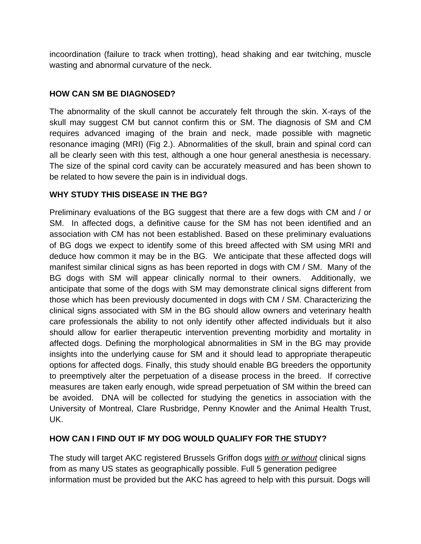incoordination (failure to track when trotting), head shaking and ear twitching, muscle wasting and abnormal curvature of the neck.

## **HOW CAN SM BE DIAGNOSED?**

The abnormality of the skull cannot be accurately felt through the skin. X-rays of the skull may suggest CM but cannot confirm this or SM. The diagnosis of SM and CM requires advanced imaging of the brain and neck, made possible with magnetic resonance imaging (MRI) (Fig 2.). Abnormalities of the skull, brain and spinal cord can all be clearly seen with this test, although a one hour general anesthesia is necessary. The size of the spinal cord cavity can be accurately measured and has been shown to be related to how severe the pain is in individual dogs.

## **WHY STUDY THIS DISEASE IN THE BG?**

Preliminary evaluations of the BG suggest that there are a few dogs with CM and / or SM. In affected dogs, a definitive cause for the SM has not been identified and an association with CM has not been established. Based on these preliminary evaluations of BG dogs we expect to identify some of this breed affected with SM using MRI and deduce how common it may be in the BG. We anticipate that these affected dogs will manifest similar clinical signs as has been reported in dogs with CM / SM. Many of the BG dogs with SM will appear clinically normal to their owners. Additionally, we anticipate that some of the dogs with SM may demonstrate clinical signs different from those which has been previously documented in dogs with CM / SM. Characterizing the clinical signs associated with SM in the BG should allow owners and veterinary health care professionals the ability to not only identify other affected individuals but it also should allow for earlier therapeutic intervention preventing morbidity and mortality in affected dogs. Defining the morphological abnormalities in SM in the BG may provide insights into the underlying cause for SM and it should lead to appropriate therapeutic options for affected dogs. Finally, this study should enable BG breeders the opportunity to preemptively alter the perpetuation of a disease process in the breed. If corrective measures are taken early enough, wide spread perpetuation of SM within the breed can be avoided. DNA will be collected for studying the genetics in association with the University of Montreal, Clare Rusbridge, Penny Knowler and the Animal Health Trust, UK.

## **HOW CAN I FIND OUT IF MY DOG WOULD QUALIFY FOR THE STUDY?**

The study will target AKC registered Brussels Griffon dogs *with or without* clinical signs from as many US states as geographically possible. Full 5 generation pedigree information must be provided but the AKC has agreed to help with this pursuit. Dogs will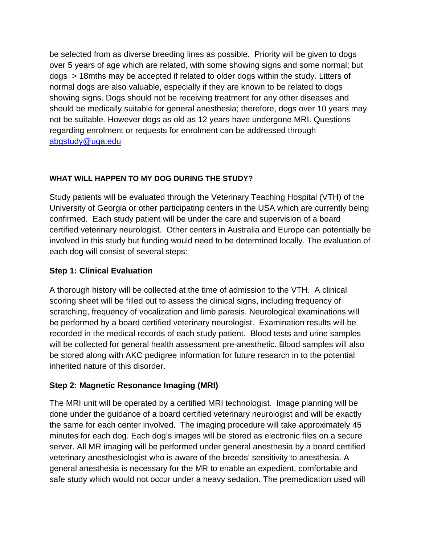be selected from as diverse breeding lines as possible. Priority will be given to dogs over 5 years of age which are related, with some showing signs and some normal; but dogs > 18mths may be accepted if related to older dogs within the study. Litters of normal dogs are also valuable, especially if they are known to be related to dogs showing signs. Dogs should not be receiving treatment for any other diseases and should be medically suitable for general anesthesia; therefore, dogs over 10 years may not be suitable. However dogs as old as 12 years have undergone MRI. Questions regarding enrolment or requests for enrolment can be addressed through abgstudy@uga.edu

## **WHAT WILL HAPPEN TO MY DOG DURING THE STUDY?**

Study patients will be evaluated through the Veterinary Teaching Hospital (VTH) of the University of Georgia or other participating centers in the USA which are currently being confirmed. Each study patient will be under the care and supervision of a board certified veterinary neurologist. Other centers in Australia and Europe can potentially be involved in this study but funding would need to be determined locally. The evaluation of each dog will consist of several steps:

## **Step 1: Clinical Evaluation**

A thorough history will be collected at the time of admission to the VTH. A clinical scoring sheet will be filled out to assess the clinical signs, including frequency of scratching, frequency of vocalization and limb paresis. Neurological examinations will be performed by a board certified veterinary neurologist. Examination results will be recorded in the medical records of each study patient. Blood tests and urine samples will be collected for general health assessment pre-anesthetic. Blood samples will also be stored along with AKC pedigree information for future research in to the potential inherited nature of this disorder.

## **Step 2: Magnetic Resonance Imaging (MRI)**

The MRI unit will be operated by a certified MRI technologist. Image planning will be done under the guidance of a board certified veterinary neurologist and will be exactly the same for each center involved. The imaging procedure will take approximately 45 minutes for each dog. Each dog's images will be stored as electronic files on a secure server. All MR imaging will be performed under general anesthesia by a board certified veterinary anesthesiologist who is aware of the breeds' sensitivity to anesthesia. A general anesthesia is necessary for the MR to enable an expedient, comfortable and safe study which would not occur under a heavy sedation. The premedication used will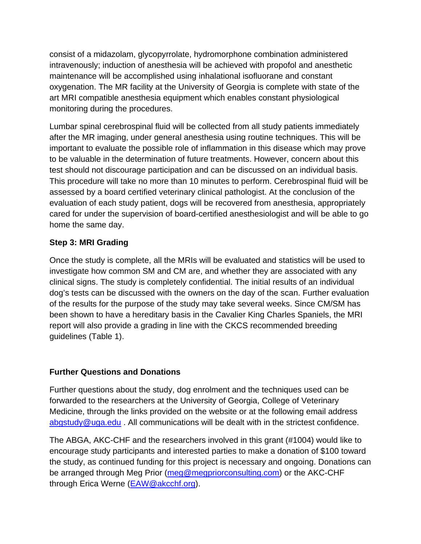consist of a midazolam, glycopyrrolate, hydromorphone combination administered intravenously; induction of anesthesia will be achieved with propofol and anesthetic maintenance will be accomplished using inhalational isofluorane and constant oxygenation. The MR facility at the University of Georgia is complete with state of the art MRI compatible anesthesia equipment which enables constant physiological monitoring during the procedures.

Lumbar spinal cerebrospinal fluid will be collected from all study patients immediately after the MR imaging, under general anesthesia using routine techniques. This will be important to evaluate the possible role of inflammation in this disease which may prove to be valuable in the determination of future treatments. However, concern about this test should not discourage participation and can be discussed on an individual basis. This procedure will take no more than 10 minutes to perform. Cerebrospinal fluid will be assessed by a board certified veterinary clinical pathologist. At the conclusion of the evaluation of each study patient, dogs will be recovered from anesthesia, appropriately cared for under the supervision of board-certified anesthesiologist and will be able to go home the same day.

## **Step 3: MRI Grading**

Once the study is complete, all the MRIs will be evaluated and statistics will be used to investigate how common SM and CM are, and whether they are associated with any clinical signs. The study is completely confidential. The initial results of an individual dog's tests can be discussed with the owners on the day of the scan. Further evaluation of the results for the purpose of the study may take several weeks. Since CM/SM has been shown to have a hereditary basis in the Cavalier King Charles Spaniels, the MRI report will also provide a grading in line with the CKCS recommended breeding guidelines (Table 1).

#### **Further Questions and Donations**

Further questions about the study, dog enrolment and the techniques used can be forwarded to the researchers at the University of Georgia, College of Veterinary Medicine, through the links provided on the website or at the following email address abgstudy@uga.edu . All communications will be dealt with in the strictest confidence.

The ABGA, AKC-CHF and the researchers involved in this grant (#1004) would like to encourage study participants and interested parties to make a donation of \$100 toward the study, as continued funding for this project is necessary and ongoing. Donations can be arranged through Meg Prior (meg@megpriorconsulting.com) or the AKC-CHF through Erica Werne (EAW@akcchf.org).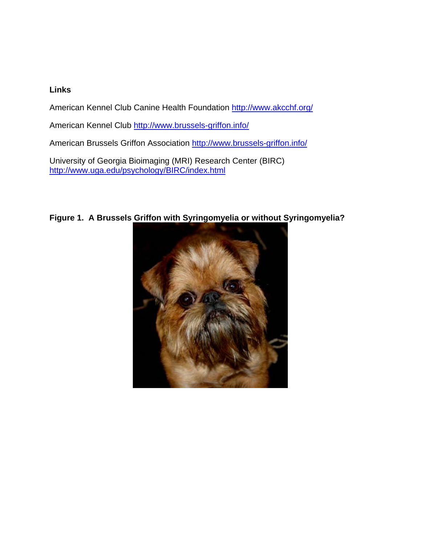#### **Links**

American Kennel Club Canine Health Foundation http://www.akcchf.org/

American Kennel Club http://www.brussels-griffon.info/

American Brussels Griffon Association http://www.brussels-griffon.info/

University of Georgia Bioimaging (MRI) Research Center (BIRC) http://www.uga.edu/psychology/BIRC/index.html



# **Figure 1. A Brussels Griffon with Syringomyelia or without Syringomyelia?**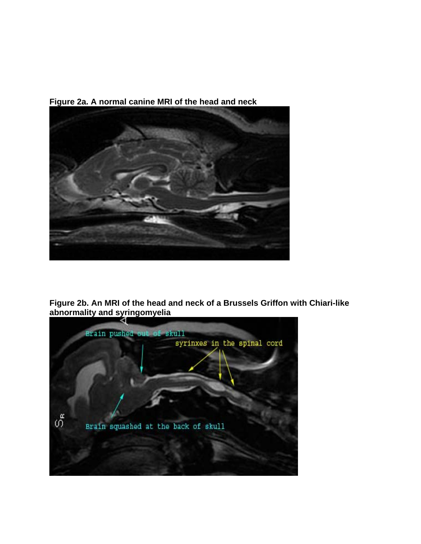

**Figure 2a. A normal canine MRI of the head and neck** 

**Figure 2b. An MRI of the head and neck of a Brussels Griffon with Chiari-like abnormality and syringomyelia**